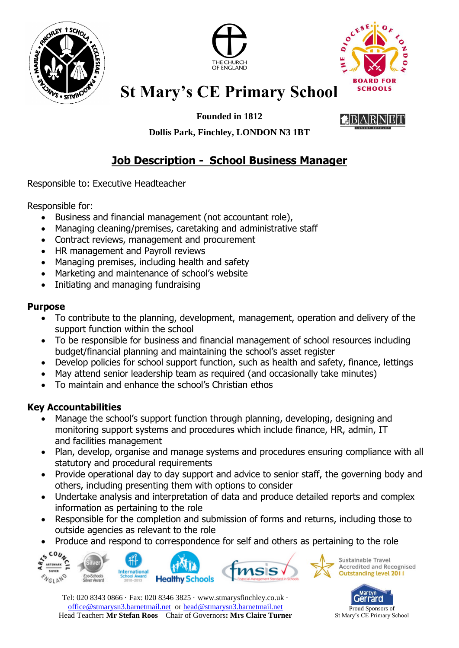





**Founded in 1812**



**Dollis Park, Finchley, LONDON N3 1BT**

### **Job Description - School Business Manager**

Responsible to: Executive Headteacher

Responsible for:

- Business and financial management (not accountant role),
- Managing cleaning/premises, caretaking and administrative staff
- Contract reviews, management and procurement
- HR management and Payroll reviews
- Managing premises, including health and safety
- Marketing and maintenance of school's website
- Initiating and managing fundraising

#### **Purpose**

- To contribute to the planning, development, management, operation and delivery of the support function within the school
- To be responsible for business and financial management of school resources including budget/financial planning and maintaining the school's asset register
- Develop policies for school support function, such as health and safety, finance, lettings
- May attend senior leadership team as required (and occasionally take minutes)
- To maintain and enhance the school's Christian ethos

#### **Key Accountabilities**

- Manage the school's support function through planning, developing, designing and monitoring support systems and procedures which include finance, HR, admin, IT and facilities management
- Plan, develop, organise and manage systems and procedures ensuring compliance with all statutory and procedural requirements
- Provide operational day to day support and advice to senior staff, the governing body and others, including presenting them with options to consider
- Undertake analysis and interpretation of data and produce detailed reports and complex information as pertaining to the role
- Responsible for the completion and submission of forms and returns, including those to outside agencies as relevant to the role
- Produce and respond to correspondence for self and others as pertaining to the role



Tel: 020 8343 0866 · Fax: 020 8346 3825 · [www.stmarysfinchley.co.uk](http://www.stmarysfinchley.co.uk/) · [office@stmarysn3.barnetmail.net](mailto:office@stmarysn3.barnetmail.net) or [head@stmarysn3.barnetmail.net](mailto:head@stmarysn3.barnetmail.net) Head Teacher**: Mr Stefan Roos** Chair of Governors**: Mrs Claire Turner**



St Mary's CE Primary School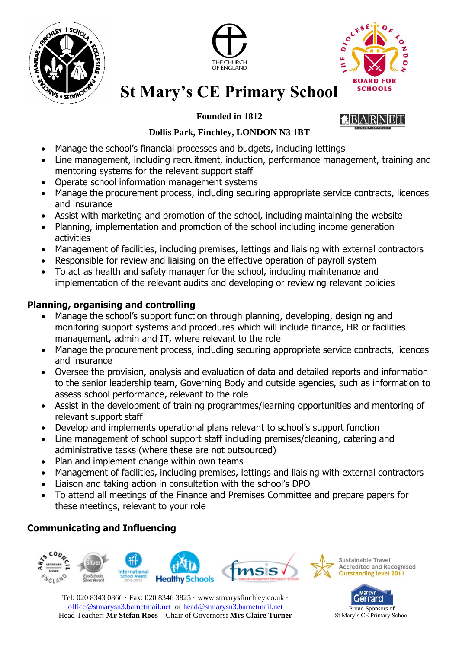





#### **Founded in 1812**

#### **Dollis Park, Finchley, LONDON N3 1BT**

- Manage the school's financial processes and budgets, including lettings
- Line management, including recruitment, induction, performance management, training and mentoring systems for the relevant support staff
- Operate school information management systems
- Manage the procurement process, including securing appropriate service contracts, licences and insurance
- Assist with marketing and promotion of the school, including maintaining the website
- Planning, implementation and promotion of the school including income generation activities
- Management of facilities, including premises, lettings and liaising with external contractors
- Responsible for review and liaising on the effective operation of payroll system
- To act as health and safety manager for the school, including maintenance and implementation of the relevant audits and developing or reviewing relevant policies

#### **Planning, organising and controlling**

- Manage the school's support function through planning, developing, designing and monitoring support systems and procedures which will include finance, HR or facilities management, admin and IT, where relevant to the role
- Manage the procurement process, including securing appropriate service contracts, licences and insurance
- Oversee the provision, analysis and evaluation of data and detailed reports and information to the senior leadership team, Governing Body and outside agencies, such as information to assess school performance, relevant to the role
- Assist in the development of training programmes/learning opportunities and mentoring of relevant support staff
- Develop and implements operational plans relevant to school's support function
- Line management of school support staff including premises/cleaning, catering and administrative tasks (where these are not outsourced)
- Plan and implement change within own teams
- Management of facilities, including premises, lettings and liaising with external contractors
- Liaison and taking action in consultation with the school's DPO
- To attend all meetings of the Finance and Premises Committee and prepare papers for these meetings, relevant to your role

### **Communicating and Influencing**



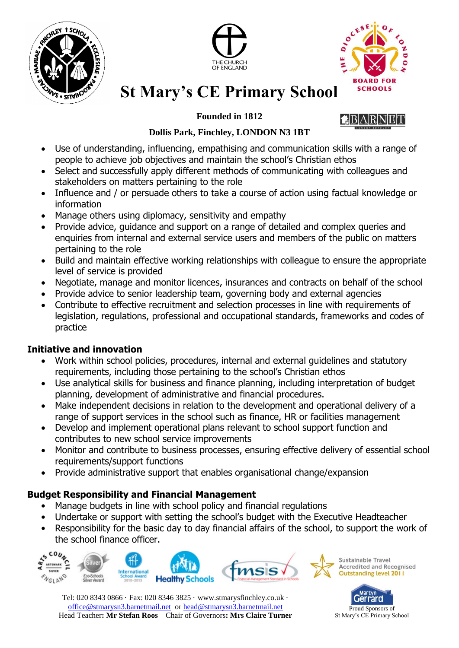





#### **Founded in 1812**

### RINIEIT

#### **Dollis Park, Finchley, LONDON N3 1BT**

- Use of understanding, influencing, empathising and communication skills with a range of people to achieve job objectives and maintain the school's Christian ethos
- Select and successfully apply different methods of communicating with colleagues and stakeholders on matters pertaining to the role
- Influence and / or persuade others to take a course of action using factual knowledge or information
- Manage others using diplomacy, sensitivity and empathy
- Provide advice, guidance and support on a range of detailed and complex queries and enquiries from internal and external service users and members of the public on matters pertaining to the role
- Build and maintain effective working relationships with colleague to ensure the appropriate level of service is provided
- Negotiate, manage and monitor licences, insurances and contracts on behalf of the school
- Provide advice to senior leadership team, governing body and external agencies
- Contribute to effective recruitment and selection processes in line with requirements of legislation, regulations, professional and occupational standards, frameworks and codes of practice

### **Initiative and innovation**

- Work within school policies, procedures, internal and external guidelines and statutory requirements, including those pertaining to the school's Christian ethos
- Use analytical skills for business and finance planning, including interpretation of budget planning, development of administrative and financial procedures.
- Make independent decisions in relation to the development and operational delivery of a range of support services in the school such as finance, HR or facilities management
- Develop and implement operational plans relevant to school support function and contributes to new school service improvements
- Monitor and contribute to business processes, ensuring effective delivery of essential school requirements/support functions
- Provide administrative support that enables organisational change/expansion

### **Budget Responsibility and Financial Management**

- Manage budgets in line with school policy and financial regulations
- Undertake or support with setting the school's budget with the Executive Headteacher
- Responsibility for the basic day to day financial affairs of the school, to support the work of the school finance officer.



Tel: 020 8343 0866 · Fax: 020 8346 3825 · [www.stmarysfinchley.co.uk](http://www.stmarysfinchley.co.uk/) · [office@stmarysn3.barnetmail.net](mailto:office@stmarysn3.barnetmail.net) or [head@stmarysn3.barnetmail.net](mailto:head@stmarysn3.barnetmail.net) Head Teacher**: Mr Stefan Roos** Chair of Governors**: Mrs Claire Turner**

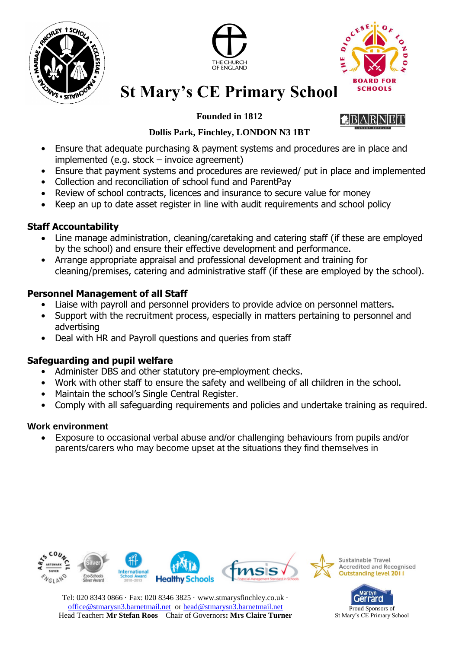





**Founded in 1812**

#### **Dollis Park, Finchley, LONDON N3 1BT**

- Ensure that adequate purchasing & payment systems and procedures are in place and implemented (e.g. stock – invoice agreement)
- Ensure that payment systems and procedures are reviewed/ put in place and implemented
- Collection and reconciliation of school fund and ParentPay
- Review of school contracts, licences and insurance to secure value for money
- Keep an up to date asset register in line with audit requirements and school policy

#### **Staff Accountability**

- Line manage administration, cleaning/caretaking and catering staff (if these are employed by the school) and ensure their effective development and performance.
- Arrange appropriate appraisal and professional development and training for cleaning/premises, catering and administrative staff (if these are employed by the school).

#### **Personnel Management of all Staff**

- Liaise with payroll and personnel providers to provide advice on personnel matters.
- Support with the recruitment process, especially in matters pertaining to personnel and advertising
- Deal with HR and Payroll questions and queries from staff

### **Safeguarding and pupil welfare**

- Administer DBS and other statutory pre-employment checks.
- Work with other staff to ensure the safety and wellbeing of all children in the school.
- Maintain the school's Single Central Register.
- Comply with all safeguarding requirements and policies and undertake training as required.

#### **Work environment**

 Exposure to occasional verbal abuse and/or challenging behaviours from pupils and/or parents/carers who may become upset at the situations they find themselves in



Tel: 020 8343 0866 · Fax: 020 8346 3825 · [www.stmarysfinchley.co.uk](http://www.stmarysfinchley.co.uk/) · [office@stmarysn3.barnetmail.net](mailto:office@stmarysn3.barnetmail.net) or [head@stmarysn3.barnetmail.net](mailto:head@stmarysn3.barnetmail.net) Head Teacher**: Mr Stefan Roos** Chair of Governors**: Mrs Claire Turner**

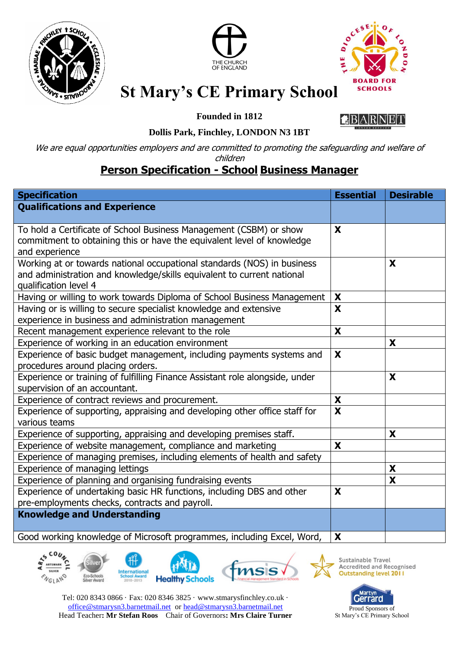





**Founded in 1812**



#### **Dollis Park, Finchley, LONDON N3 1BT**

We are equal opportunities employers and are committed to promoting the safeguarding and welfare of

### children

### **Person Specification - School Business Manager**

| <b>Specification</b>                                                         | <b>Essential</b>        | <b>Desirable</b> |
|------------------------------------------------------------------------------|-------------------------|------------------|
| <b>Qualifications and Experience</b>                                         |                         |                  |
|                                                                              |                         |                  |
| To hold a Certificate of School Business Management (CSBM) or show           | X                       |                  |
| commitment to obtaining this or have the equivalent level of knowledge       |                         |                  |
| and experience                                                               |                         |                  |
| Working at or towards national occupational standards (NOS) in business      |                         | X                |
| and administration and knowledge/skills equivalent to current national       |                         |                  |
| qualification level 4                                                        |                         |                  |
| Having or willing to work towards Diploma of School Business Management      | X                       |                  |
| Having or is willing to secure specialist knowledge and extensive            | X                       |                  |
| experience in business and administration management                         |                         |                  |
| Recent management experience relevant to the role                            | X                       |                  |
| Experience of working in an education environment                            |                         | X                |
| Experience of basic budget management, including payments systems and        | X                       |                  |
| procedures around placing orders.                                            |                         |                  |
| Experience or training of fulfilling Finance Assistant role alongside, under |                         | X                |
| supervision of an accountant.                                                |                         |                  |
| Experience of contract reviews and procurement.                              | $\pmb{\mathsf{X}}$      |                  |
| Experience of supporting, appraising and developing other office staff for   | $\overline{\mathbf{x}}$ |                  |
| various teams                                                                |                         |                  |
| Experience of supporting, appraising and developing premises staff.          |                         | X                |
| Experience of website management, compliance and marketing                   | X                       |                  |
| Experience of managing premises, including elements of health and safety     |                         |                  |
| Experience of managing lettings                                              |                         | X                |
| Experience of planning and organising fundraising events                     |                         | X                |
| Experience of undertaking basic HR functions, including DBS and other        | X                       |                  |
| pre-employments checks, contracts and payroll.                               |                         |                  |
| <b>Knowledge and Understanding</b>                                           |                         |                  |
| Good working knowledge of Microsoft programmes, including Excel, Word,       | X                       |                  |





Sustainable Travel Accredited and Recognised<br>Outstanding level 2011

Tel: 020 8343 0866 · Fax: 020 8346 3825 · [www.stmarysfinchley.co.uk](http://www.stmarysfinchley.co.uk/) · [office@stmarysn3.barnetmail.net](mailto:office@stmarysn3.barnetmail.net) or [head@stmarysn3.barnetmail.net](mailto:head@stmarysn3.barnetmail.net) Head Teacher**: Mr Stefan Roos** Chair of Governors**: Mrs Claire Turner**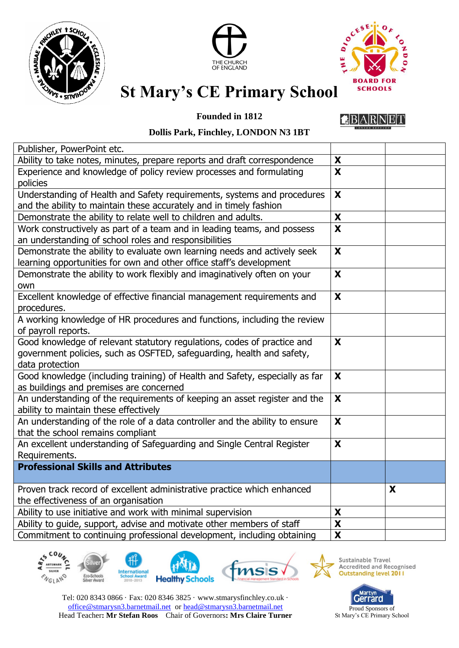





#### **Founded in 1812**

BARN

#### **Dollis Park, Finchley, LONDON N3 1BT**

| Publisher, PowerPoint etc.                                                  |                           |   |
|-----------------------------------------------------------------------------|---------------------------|---|
| Ability to take notes, minutes, prepare reports and draft correspondence    | X                         |   |
| Experience and knowledge of policy review processes and formulating         | X                         |   |
| policies                                                                    |                           |   |
| Understanding of Health and Safety requirements, systems and procedures     | $\boldsymbol{\mathsf{X}}$ |   |
| and the ability to maintain these accurately and in timely fashion          |                           |   |
| Demonstrate the ability to relate well to children and adults.              | X                         |   |
| Work constructively as part of a team and in leading teams, and possess     | $\mathbf x$               |   |
| an understanding of school roles and responsibilities                       |                           |   |
| Demonstrate the ability to evaluate own learning needs and actively seek    | X                         |   |
| learning opportunities for own and other office staff's development         |                           |   |
| Demonstrate the ability to work flexibly and imaginatively often on your    | X                         |   |
| own                                                                         |                           |   |
| Excellent knowledge of effective financial management requirements and      | X                         |   |
| procedures.                                                                 |                           |   |
| A working knowledge of HR procedures and functions, including the review    |                           |   |
| of payroll reports.                                                         |                           |   |
| Good knowledge of relevant statutory regulations, codes of practice and     | $\mathbf x$               |   |
| government policies, such as OSFTED, safeguarding, health and safety,       |                           |   |
| data protection                                                             |                           |   |
| Good knowledge (including training) of Health and Safety, especially as far | X                         |   |
| as buildings and premises are concerned                                     |                           |   |
| An understanding of the requirements of keeping an asset register and the   | X                         |   |
| ability to maintain these effectively                                       |                           |   |
| An understanding of the role of a data controller and the ability to ensure | X                         |   |
| that the school remains compliant                                           |                           |   |
| An excellent understanding of Safeguarding and Single Central Register      | X                         |   |
| Requirements.                                                               |                           |   |
| <b>Professional Skills and Attributes</b>                                   |                           |   |
| Proven track record of excellent administrative practice which enhanced     |                           | X |
| the effectiveness of an organisation                                        |                           |   |
| Ability to use initiative and work with minimal supervision                 | X                         |   |
| Ability to guide, support, advise and motivate other members of staff       | $\overline{\mathbf{X}}$   |   |
| Commitment to continuing professional development, including obtaining      | $\boldsymbol{\mathsf{X}}$ |   |
|                                                                             |                           |   |





Sustainable Travel<br>Accredited and Recognised<br>Outstanding level 2011

Tel: 020 8343 0866 · Fax: 020 8346 3825 · [www.stmarysfinchley.co.uk](http://www.stmarysfinchley.co.uk/) · [office@stmarysn3.barnetmail.net](mailto:office@stmarysn3.barnetmail.net) or [head@stmarysn3.barnetmail.net](mailto:head@stmarysn3.barnetmail.net) Head Teacher**: Mr Stefan Roos** Chair of Governors**: Mrs Claire Turner**